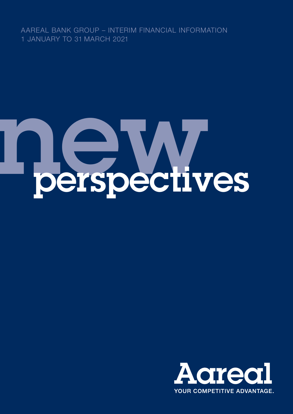AAREAL BANK GROUP – INTERIM FINANCIAL INFORMATION 1 JANUARY TO 31 MARCH 2021

# nderspectives

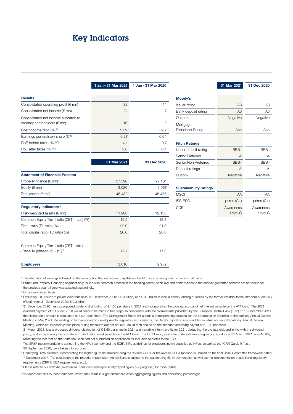# <span id="page-1-0"></span>Key Indicators

1 Jan - 31 Mar 2021 1 Jan - 31 Mar 2020

| <b>Results</b>                                                                     |      |      |
|------------------------------------------------------------------------------------|------|------|
| Consolidated operating profit ( $\epsilon$ mn)                                     | 32   | 11   |
| Consolidated net income $(\epsilon \text{mn})$                                     | 21   | 7    |
| Consolidated net income allocated to<br>ordinary shareholders (€ mn) <sup>1)</sup> | 16   | 2    |
| Cost/income ratio (%) <sup>2)</sup>                                                | 51.9 | 39.2 |
| Earnings per ordinary share $(\epsilon)^{1}$                                       | 0.27 | 0.04 |
| RoE before taxes $(\%)$ <sup>1) 3)</sup>                                           | 4.1  | 0.7  |
| RoE after taxes $(\%)^{1/3}$                                                       | 2.6  | 0.4  |
|                                                                                    |      |      |

|                                              | 31 Mar 2021      | 31 Dec 2020 |  |  |
|----------------------------------------------|------------------|-------------|--|--|
| <b>Statement of Financial Position</b>       |                  |             |  |  |
| Property finance ( $\in$ mn) <sup>4)</sup>   | 27,590           | 27,181      |  |  |
| Equity ( $\notin$ mn)                        | 3,026            | 2,967       |  |  |
| Total assets ( $\notin$ mn)                  | 46,482<br>45,478 |             |  |  |
| Regulatory Indicators <sup>5)</sup>          |                  |             |  |  |
| Risk-weighted assets ( $\notin$ mn)          | 11,906           | 12,138      |  |  |
| Common Equity Tier 1 ratio (CET 1 ratio) (%) | 19.5             | 18.8        |  |  |
| Tier 1 ratio $(T1$ ratio) $(\%)$             | 22.0             | 21.3        |  |  |
| Total capital ratio (TC ratio) (%)           | 26.0             | 28.0        |  |  |
| Common Equity Tier 1 ratio (CET 1 ratio)     |                  |             |  |  |
| - Basel IV (phased-in) - (%) <sup>6)</sup>   | 17.7             | 17.3        |  |  |
| <b>Employees</b>                             | 3,010            | 2,982       |  |  |

|                                      | 31 Mar 2021          | 31 Dec 2020          |  |  |
|--------------------------------------|----------------------|----------------------|--|--|
|                                      |                      |                      |  |  |
| Moody's                              |                      |                      |  |  |
| Issuer rating                        | A3                   | A <sub>3</sub>       |  |  |
| Bank deposit rating                  | A3                   | A3                   |  |  |
| Outlook                              | Negative             | Negative             |  |  |
| Mortgage<br><b>Pfandbrief Rating</b> | Ааа<br>Aaa           |                      |  |  |
| <b>Fitch Ratings</b>                 |                      |                      |  |  |
| Issuer default rating                | $BBB+$               | BBB+                 |  |  |
| Senior Preferred                     | $A -$                | $A -$                |  |  |
| Senior Non Preferred                 | BBB+                 | BBB+                 |  |  |
| Deposit ratings                      | $A -$                | A-                   |  |  |
| Outlook                              | Negative             | Negative             |  |  |
|                                      |                      |                      |  |  |
| Sustainability ratings <sup>7)</sup> |                      |                      |  |  |
| <b>MSCI</b>                          | AA                   | AA                   |  |  |
| <b>ISS-ESG</b>                       | prime $(C+)$         | prime $(C+)$         |  |  |
| CDP                                  | Awareness<br>Level C | Awareness<br>Level C |  |  |

1) The allocation of earnings is based on the assumption that net interest payable on the AT1 bond is recognised on an accrual basis.

<sup>2)</sup> Structured Property Financing segment only; in line with common practice in the banking sector, bank levy and contributions to the deposit guarantee scheme are not included; the previous year's figure was adjusted accordingly.

3) On an annualised basis

4) Excluding € 0.3 billion in private client business (31 December 2020: € 0.3 billion) and € 0.3 billion in local authority lending business by the former Westdeutsche ImmobilienBank AG (WestImmo) (31 December 2020: € 0.3 billion)

5) 31 December 2020: less a proposed dividend distribution of € 1.50 per share in 2021 and incorporating the pro-rata accrual of net interest payable on the AT1 bond. The 2021 dividend payment of € 1.50 for 2020 would need to be made in two steps. In compliance with the requirements published by the European Central Bank (ECB) on 15 December 2020, the distributable amount is calculated at € 0.40 per share. The Management Board will submit a corresponding proposal for the appropriation of profits to the ordinary Annual General Meeting in May 2021. Depending on further economic developments, regulatory requirements, the Bank's capital position and its risk situation, an extraordinary Annual General Meeting, which could possibly take place during the fourth quarter of 2021, could then decide on the intended remaining payout of € 1.10 per share.

31 March 2021: less a proposed dividend distribution of € 1.50 per share in 2021 and including interim profits for 2021, deducting the pro rata dividend in line with the dividend policy, and incorporating the pro-rata accrual of net interest payable on the AT1 bond. The CET1 ratio, as shown in Aareal Bank's regulatory report as at 31 March 2021, was 18.9%, reflecting the fact that on that date the Bank had not submitted an application for inclusion of profits to the ECB.

The SREP recommendations concerning the NPL inventory and the ECB's NPL guidelines for exposures newly classified as NPLs, as well as the "CRR Quick fix" as of 30 September 2020, were taken into account.

<sup>6)</sup> Underlying RWA estimate, incorporating the higher figure determined using the revised AIRBA or the revised CRSA (phased-in), based on the final Basel Committee framework dated 7 December 2017. The calculation of the material impact upon Aareal Bank is subject to the outstanding EU implementation as well as the implementation of additional regulatory requirements (CRR II, EBA requirements, etc.).

7) Please refer to our website (www.aareal-bank.com/en/responsibility/reporting-on-our-progress/) for more details.

This report contains rounded numbers, which may result in slight differences when aggregating figures and calculating percentages.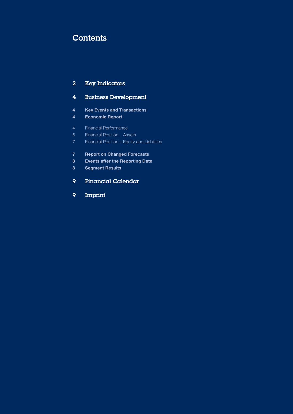# **Contents**

# [Key Indicators](#page-1-0)

# [Business Development](#page-3-0)

- [Key Events and Transactions](#page-3-0)
- [Economic Report](#page-3-0)
- [Financial Performance](#page-3-0)
- [Financial Position Assets](#page-5-0)
- [Financial Position Equity and Liabilities](#page-6-0)
- [Report on Changed Forecasts](#page-6-0)
- [Events after the Reporting Date](#page-7-0)
- [Segment Results](#page-7-0)
- [Financial Calendar](#page-8-0)
- [Imprint](#page-8-0)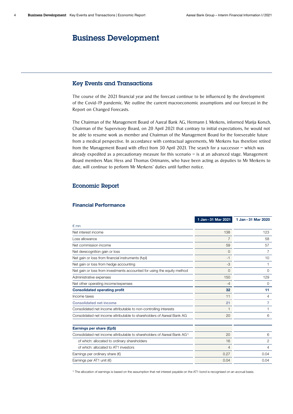# <span id="page-3-0"></span>Business Development

### Key Events and Transactions

The course of the 2021 financial year and the forecast continue to be influenced by the development of the Covid-19 pandemic. We outline the current macroeconomic assumptions and our forecast in the Report on Changed Forecasts.

The Chairman of the Management Board of Aareal Bank AG, Hermann J. Merkens, informed Marija Korsch, Chairman of the Supervisory Board, on 20 April 2021 that contrary to initial expectations, he would not be able to resume work as member and Chairman of the Management Board for the foreseeable future from a medical perspective. In accordance with contractual agreements, Mr Merkens has therefore retired from the Management Board with effect from 30 April 2021. The search for a successor – which was already expedited as a precautionary measure for this scenario – is at an advanced stage. Management Board members Marc Hess and Thomas Ortmanns, who have been acting as deputies to Mr Merkens to date, will continue to perform Mr Merkens' duties until further notice.

### Economic Report

### Financial Performance

|                                                                                      | 1 Jan - 31 Mar 2021 | 1 Jan - 31 Mar 2020 |
|--------------------------------------------------------------------------------------|---------------------|---------------------|
| $\notin$ mn                                                                          |                     |                     |
| Net interest income                                                                  | 138                 | 123                 |
| Loss allowance                                                                       | 7                   | 58                  |
| Net commission income                                                                | 59                  | 57                  |
| Net derecognition gain or loss                                                       | 0                   | 7                   |
| Net gain or loss from financial instruments (fypl)                                   | $-1$                | 10                  |
| Net gain or loss from hedge accounting                                               | -3                  | 1                   |
| Net gain or loss from investments accounted for using the equity method              | $\Omega$            | $\Omega$            |
| Administrative expenses                                                              | 150                 | 129                 |
| Net other operating income/expenses                                                  | $-4$                | 0                   |
| <b>Consolidated operating profit</b>                                                 | 32                  | 11                  |
| Income taxes                                                                         | 11                  | 4                   |
| <b>Consolidated net income</b>                                                       | 21                  | 7                   |
| Consolidated net income attributable to non-controlling interests                    | 1                   |                     |
| Consolidated net income attributable to shareholders of Aareal Bank AG               | 20                  | 6                   |
| Earnings per share (EpS)                                                             |                     |                     |
| Consolidated net income attributable to shareholders of Aareal Bank AG <sup>1)</sup> | 20                  | 6                   |
| of which: allocated to ordinary shareholders                                         | 16                  | 2                   |
| of which: allocated to AT1 investors                                                 | 4                   | 4                   |
| Earnings per ordinary share $(\epsilon)$                                             | 0.27                | 0.04                |
| Earnings per AT1 unit $(\epsilon)$                                                   | 0.04                | 0.04                |

1) The allocation of earnings is based on the assumption that net interest payable on the AT1 bond is recognised on an accrual basis.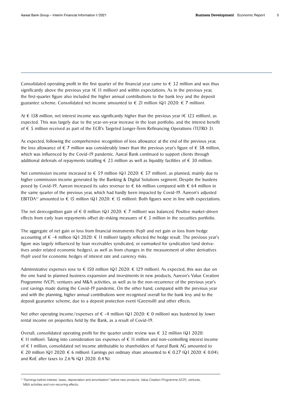Consolidated operating profit in the first quarter of the financial year came to  $\epsilon$  32 million and was thus significantly above the previous year  $(\epsilon 11$  million) and within expectations. As in the previous year, the first-quarter figure also included the higher annual contributions to the bank levy and the deposit guarantee scheme. Consolidated net income amounted to  $\epsilon$  21 million (Q1 2020:  $\epsilon$  7 million).

At € 138 million, net interest income was significantly higher than the previous year (€ 123 million), as expected. This was largely due to the year-on-year increase in the loan portfolio, and the interest benefit of € 5 million received as part of the ECB's Targeted Longer-Term Refinancing Operations (TLTRO 3).

As expected, following the comprehensive recognition of loss allowance at the end of the previous year, the loss allowance of  $\epsilon$  7 million was considerably lower than the previous year's figure of  $\epsilon$  58 million, which was influenced by the Covid-19 pandemic. Aareal Bank continued to support clients through additional deferrals of repayments totalling  $\epsilon$  23 million as well as liquidity facilities of  $\epsilon$  30 million.

Net commission income increased to  $\epsilon$  59 million (Q1 2020:  $\epsilon$  57 million), as planned, mainly due to higher commission income generated by the Banking & Digital Solutions segment. Despite the burdens posed by Covid-19, Aareon increased its sales revenue to  $\epsilon$  66 million compared with  $\epsilon$  64 million in the same quarter of the previous year, which had hardly been impacted by Covid-19. Aareon's adjusted EBITDA<sup>1)</sup> amounted to  $\epsilon$  15 million (Q1 2020:  $\epsilon$  15 million). Both figures were in line with expectations.

The net derecognition gain of  $\epsilon$  0 million (Q1 2020:  $\epsilon$  7 million) was balanced. Positive market-driven effects from early loan repayments offset de-risking measures of  $\epsilon$  3 million in the securities portfolio.

The aggregate of net gain or loss from financial instruments (fvpl) and net gain or loss from hedge accounting of  $\epsilon$  -4 million (Q1 2020:  $\epsilon$  11 million) largely reflected the hedge result. The previous year's figure was largely influenced by loan receivables syndicated, or earmarked for syndication (and derivatives under related economic hedges), as well as from changes in the measurement of other derivatives (fvpl) used for economic hedges of interest rate and currency risks.

Administrative expenses rose to  $\epsilon$  150 million (Q1 2020:  $\epsilon$  129 million). As expected, this was due on the one hand to planned business expansion and investments in new products, Aareon's Value Creation Programme (VCP), ventures and M&A activities, as well as to the non-recurrence of the previous year's cost savings made during the Covid-19 pandemic. On the other hand, compared with the previous year and with the planning, higher annual contributions were recognised overall for the bank levy and to the deposit guarantee scheme, due to a deposit protection event (Greensill) and other effects.

Net other operating income/expenses of  $\epsilon$  -4 million (Q1 2020:  $\epsilon$  0 million) was burdened by lower rental income on properties held by the Bank, as a result of Covid-19.

Overall, consolidated operating profit for the quarter under review was  $\epsilon$  32 million (Q1 2020:  $\in$  11 million). Taking into consideration tax expenses of  $\in$  11 million and non-controlling interest income of € 1 million, consolidated net income attributable to shareholders of Aareal Bank AG amounted to € 20 million (Q1 2020: € 6 million). Earnings per ordinary share amounted to € 0.27 (Q1 2020: € 0.04), and RoE after taxes to 2.6 % (Q1 2020: 0.4 %).

<sup>&</sup>lt;sup>1)</sup> "Earnings before interest, taxes, depreciation and amortisation" before new products, Value Creation Programme (VCP), ventures, M&A activities and non-recurring effects.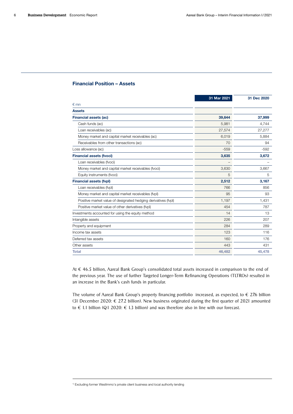### <span id="page-5-0"></span>Financial Position – Assets

|                                                                | 31 Mar 2021 | 31 Dec 2020 |
|----------------------------------------------------------------|-------------|-------------|
| $\epsilon$ mn                                                  |             |             |
| <b>Assets</b>                                                  |             |             |
| <b>Financial assets (ac)</b>                                   | 39,644      | 37,999      |
| Cash funds (ac)                                                | 5,981       | 4,744       |
| Loan receivables (ac)                                          | 27,574      | 27,277      |
| Money market and capital market receivables (ac)               | 6,019       | 5,884       |
| Receivables from other transactions (ac)                       | 70          | 94          |
| Loss allowance (ac)                                            | $-559$      | $-592$      |
| <b>Financial assets (fvoci)</b>                                | 3,635       | 3,672       |
| Loan receivables (fvoci)                                       |             |             |
| Money market and capital market receivables (fvoci)            | 3,630       | 3,667       |
| Equity instruments (fvoci)                                     | 5           | 5           |
| <b>Financial assets (fvpl)</b>                                 | 2.512       | 3.167       |
| Loan receivables (fypl)                                        | 766         | 856         |
| Money market and capital market receivables (fypl)             | 95          | 93          |
| Positive market value of designated hedging derivatives (fypl) | 1,197       | 1,431       |
| Positive market value of other derivatives (fypl)              | 454         | 787         |
| Investments accounted for using the equity method              | 14          | 13          |
| Intangible assets                                              | 226         | 207         |
| Property and equipment                                         | 284         | 289         |
| Income tax assets                                              | 123         | 116         |
| Deferred tax assets                                            | 160         | 176         |
| Other assets                                                   | 443         | 431         |
| <b>Total</b>                                                   | 46,482      | 45,478      |

At € 46.5 billion, Aareal Bank Group's consolidated total assets increased in comparison to the end of the previous year. The use of further Targeted Longer-Term Refinancing Operations (TLTROs) resulted in an increase in the Bank's cash funds in particular.

The volume of Aareal Bank Group's property financing portfolio increased, as expected, to  $\epsilon$  27.6 billion (31 December 2020: € 27.2 billion). New business originated during the first quarter of 2021 amounted to € 1.1 billion (Q1 2020: € 1.3 billion) and was therefore also in line with our forecast.

<sup>&</sup>lt;sup>1)</sup> Excluding former WestImmo's private client business and local authority lending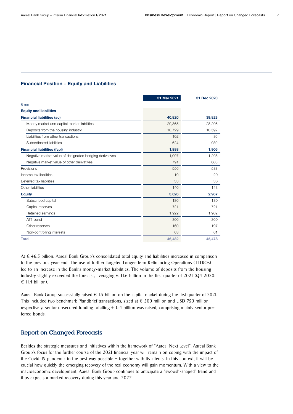### <span id="page-6-0"></span>Financial Position – Equity and Liabilities

|                                                         | 31 Mar 2021 | 31 Dec 2020 |
|---------------------------------------------------------|-------------|-------------|
| $\n  Emn\n$                                             |             |             |
| <b>Equity and liabilities</b>                           |             |             |
| <b>Financial liabilities (ac)</b>                       | 40,820      | 39,823      |
| Money market and capital market liabilities             | 29,365      | 28,206      |
| Deposits from the housing industry                      | 10,729      | 10,592      |
| Liabilities from other transactions                     | 102         | 86          |
| Subordinated liabilities                                | 624         | 939         |
| <b>Financial liabilities (fvpl)</b>                     | 1,888       | 1,906       |
| Negative market value of designated hedging derivatives | 1,097       | 1,298       |
| Negative market value of other derivatives              | 791         | 608         |
| Provisions                                              | 556         | 583         |
| Income tax liabilities                                  | 19          | 20          |
| Deferred tax liabilities                                | 33          | 36          |
| Other liabilities                                       | 140         | 143         |
| <b>Equity</b>                                           | 3,026       | 2,967       |
| Subscribed capital                                      | 180         | 180         |
| Capital reserves                                        | 721         | 721         |
| Retained earnings                                       | 1,922       | 1,902       |
| AT1 bond                                                | 300         | 300         |
| Other reserves                                          | $-160$      | $-197$      |
| Non-controlling interests                               | 63          | 61          |
| <b>Total</b>                                            | 46,482      | 45,478      |
|                                                         |             |             |

At € 46.5 billion, Aareal Bank Group's consolidated total equity and liabilities increased in comparison to the previous year-end. The use of further Targeted Longer-Term Refinancing Operations (TLTROs) led to an increase in the Bank's money-market liabilities. The volume of deposits from the housing industry slightly exceeded the forecast, averaging  $\epsilon$  11.6 billion in the first quarter of 2021 (Q4 2020:  $€$  11.4 billion).

Aareal Bank Group successfully raised  $\epsilon$  1.5 billion on the capital market during the first quarter of 2021. This included two benchmark Pfandbrief transactions, sized at  $\epsilon$  500 million and USD 750 million respectively. Senior unsecured funding totalling  $\epsilon$  0.4 billion was raised, comprising mainly senior preferred bonds.

### Report on Changed Forecasts

Besides the strategic measures and initiatives within the framework of "Aareal Next Level", Aareal Bank Group's focus for the further course of the 2021 financial year will remain on coping with the impact of the Covid-19 pandemic in the best way possible – together with its clients. In this context, it will be crucial how quickly the emerging recovery of the real economy will gain momentum. With a view to the macroeconomic development, Aareal Bank Group continues to anticipate a "swoosh-shaped" trend and thus expects a marked recovery during this year and 2022.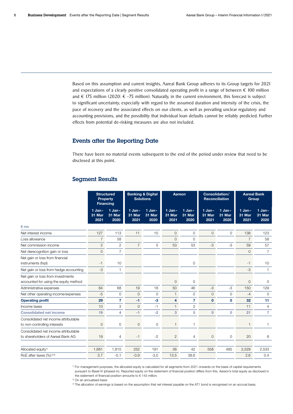<span id="page-7-0"></span>Based on this assumption and current insights, Aareal Bank Group adheres to its Group targets for 2021 and expectations of a clearly positive consolidated operating profit in a range of between  $\epsilon$  100 million and  $\epsilon$  175 million (2020:  $\epsilon$  -75 million). Naturally, in the current environment, this forecast is subject to significant uncertainty, especially with regard to the assumed duration and intensity of the crisis, the pace of recovery and the associated effects on our clients, as well as prevailing unclear regulatory and accounting provisions, and the possibility that individual loan defaults cannot be reliably predicted. Further effects from potential de-risking measures are also not included.

### Events after the Reporting Date

There have been no material events subsequent to the end of the period under review that need to be disclosed at this point.

### Segment Results

|                                                                            | <b>Structured</b><br><b>Property</b><br><b>Financing</b> |                            |                            | <b>Banking &amp; Digital</b><br><b>Solutions</b> | Aareon                   |                            | <b>Reconciliation</b>      | Consolidation/             | Group                    | <b>Aareal Bank</b>         |
|----------------------------------------------------------------------------|----------------------------------------------------------|----------------------------|----------------------------|--------------------------------------------------|--------------------------|----------------------------|----------------------------|----------------------------|--------------------------|----------------------------|
|                                                                            | 1 Jan-<br>31 Mar<br>2021                                 | $1$ Jan-<br>31 Mar<br>2020 | $1$ Jan-<br>31 Mar<br>2021 | $1$ Jan-<br>31 Mar<br>2020                       | 1 Jan-<br>31 Mar<br>2021 | $1$ Jan-<br>31 Mar<br>2020 | $1$ Jan-<br>31 Mar<br>2021 | $1$ Jan-<br>31 Mar<br>2020 | 1 Jan-<br>31 Mar<br>2021 | $1$ Jan-<br>31 Mar<br>2020 |
| $\n  mn\n$                                                                 |                                                          |                            |                            |                                                  |                          |                            |                            |                            |                          |                            |
| Net interest income                                                        | 127                                                      | 113                        | 11                         | 10                                               | 0                        | $\mathbf{0}$               | $\circ$                    | $\mathbf 0$                | 138                      | 123                        |
| Loss allowance                                                             | $\overline{7}$                                           | 58                         |                            |                                                  | $\Omega$                 | $\Omega$                   |                            |                            | $\overline{7}$           | 58                         |
| Net commission income                                                      | $\overline{c}$                                           | $\overline{2}$             | $\overline{7}$             | 5                                                | 53                       | 53                         | $-3$                       | $-3$                       | 59                       | 57                         |
| Net derecognition gain or loss                                             | 0                                                        | $\overline{7}$             |                            |                                                  |                          |                            |                            |                            | $\circ$                  | $\overline{7}$             |
| Net gain or loss from financial<br>instruments (fvpl)                      | $-1$                                                     | 10                         |                            |                                                  |                          | $\circ$                    |                            |                            | $-1$                     | 10                         |
| Net gain or loss from hedge accounting                                     | $-3$                                                     | 1                          |                            |                                                  |                          |                            |                            |                            | $-3$                     | $\mathbf{1}$               |
| Net gain or loss from investments<br>accounted for using the equity method |                                                          |                            |                            |                                                  | $\circ$                  | $\mathbf 0$                |                            |                            | 0                        | $\circ$                    |
| Administrative expenses                                                    | 84                                                       | 68                         | 19                         | 18                                               | 50                       | 46                         | $-3$                       | -3                         | 150                      | 129                        |
| Net other operating income/expenses                                        | $-5$                                                     | $\circ$                    | 0                          | $\circ$                                          | $\mathbf{1}$             | $\mathbf 0$                | $\circ$                    | $\circ$                    | $-4$                     | $\mathbf{0}$               |
| <b>Operating profit</b>                                                    | 29                                                       | 7                          | $-1$                       | $-3$                                             | 4                        | 7                          | $\mathbf{0}$               | $\mathbf 0$                | 32                       | 11                         |
| Income taxes                                                               | 10                                                       | 3                          | $\mathbf{O}$               | $-1$                                             | 1.                       | $\overline{2}$             |                            |                            | 11                       | $\overline{4}$             |
| <b>Consolidated net income</b>                                             | 19                                                       | 4                          | $-1$                       | $-2$                                             | 3                        | 5                          | $\mathbf{0}$               | $\mathbf 0$                | 21                       | $\overline{7}$             |
| Consolidated net income attributable<br>to non-controlling interests       | $\mathbf{O}$                                             | $\circ$                    | $\circ$                    | $\circ$                                          | $\mathbf{1}$             | 1                          |                            |                            | $\mathbf{1}$             | $\mathbf{1}$               |
| Consolidated net income attributable<br>to shareholders of Aareal Bank AG  | 19                                                       | $\overline{4}$             | $-1$                       | $-2$                                             | $\overline{2}$           | $\overline{4}$             | $\mathbf 0$                | $\mathbf{0}$               | 20                       | 6                          |
|                                                                            |                                                          |                            |                            |                                                  |                          |                            |                            |                            |                          |                            |
| Allocated equity <sup>1)</sup>                                             | 1,681                                                    | 1,815                      | 252                        | 191                                              | 38                       | 42                         | 558                        | 485                        | 2,529                    | 2,533                      |
| RoE after taxes $(%)^{2 3 }$                                               | 3.7                                                      | $-0.1$                     | $-0.9$                     | $-3.0$                                           | 13.5                     | 38.6                       |                            |                            | 2.6                      | 0.4                        |

1) For management purposes, the allocated equity is calculated for all segments from 2021 onwards on the basis of capital requirements

pursuant to Basel IV (phased-in). Reported equity on the statement of financial position differs from this. Aareon's total equity as disclosed in the statement of financial position amounts to € 143 million.

2) On an annualised basis

3) The allocation of earnings is based on the assumption that net interest payable on the AT1 bond is recognised on an accrual basis.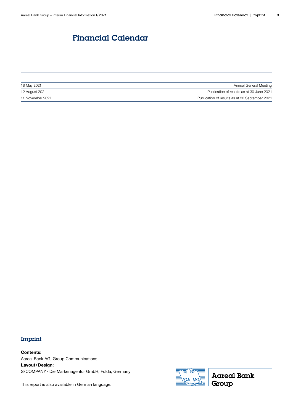# <span id="page-8-0"></span>Financial Calendar

| 18 May 2021      | Annual General Meeting                         |
|------------------|------------------------------------------------|
| 12 August 2021   | Publication of results as at 30 June 2021      |
| 11 November 2021 | Publication of results as at 30 September 2021 |

# Imprint

Contents: Aareal Bank AG, Group Communications Layout/Design: S/COMPANY · Die Markenagentur GmbH, Fulda, Germany

This report is also available in German language.



**Aareal Bank** Group